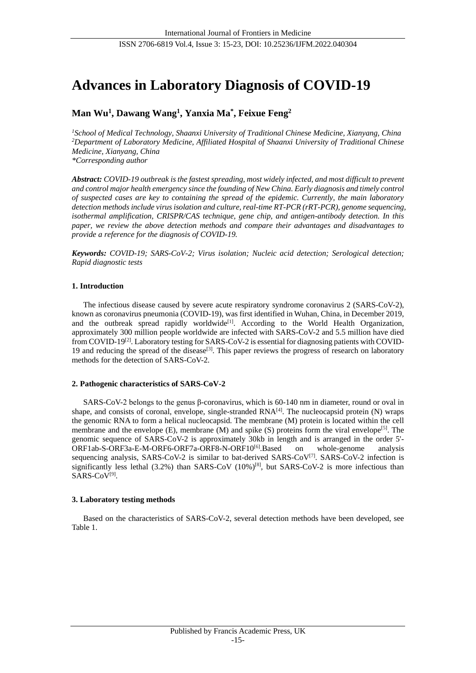# **Advances in Laboratory Diagnosis of COVID-19**

## **Man Wu<sup>1</sup> , Dawang Wang<sup>1</sup> , Yanxia Ma\* , Feixue Feng<sup>2</sup>**

*<sup>1</sup>School of Medical Technology, Shaanxi University of Traditional Chinese Medicine, Xianyang, China <sup>2</sup>Department of Laboratory Medicine, Affiliated Hospital of Shaanxi University of Traditional Chinese Medicine, Xianyang, China \*Corresponding author*

*Abstract: COVID-19 outbreak is the fastest spreading, most widely infected, and most difficult to prevent and control major health emergency since the founding of New China. Early diagnosis and timely control of suspected cases are key to containing the spread of the epidemic. Currently, the main laboratory detection methods include virus isolation and culture, real-time RT-PCR (rRT-PCR), genome sequencing, isothermal amplification, CRISPR/CAS technique, gene chip, and antigen-antibody detection. In this paper, we review the above detection methods and compare their advantages and disadvantages to provide a reference for the diagnosis of COVID-19.*

*Keywords: COVID-19; SARS-CoV-2; Virus isolation; Nucleic acid detection; Serological detection; Rapid diagnostic tests*

## **1. Introduction**

The infectious disease caused by severe acute respiratory syndrome coronavirus 2 (SARS-CoV-2), known as coronavirus pneumonia (COVID-19), was first identified in Wuhan, China, in December 2019, and the outbreak spread rapidly worldwide<sup>[1]</sup>. According to the World Health Organization, approximately 300 million people worldwide are infected with SARS-CoV-2 and 5.5 million have died from COVID-19<sup>[2]</sup>. Laboratory testing for SARS-CoV-2 is essential for diagnosing patients with COVID-19 and reducing the spread of the disease<sup>[3]</sup>. This paper reviews the progress of research on laboratory methods for the detection of SARS-CoV-2.

## **2. Pathogenic characteristics of SARS-CoV-2**

SARS-CoV-2 belongs to the genus β-coronavirus, which is 60-140 nm in diameter, round or oval in shape, and consists of coronal, envelope, single-stranded  $RNA<sup>[4]</sup>$ . The nucleocapsid protein (N) wraps the genomic RNA to form a helical nucleocapsid. The membrane (M) protein is located within the cell membrane and the envelope  $(E)$ , membrane  $(M)$  and spike  $(S)$  proteins form the viral envelope<sup>[5]</sup>. The genomic sequence of SARS-CoV-2 is approximately 30kb in length and is arranged in the order 5'- ORF1ab-S-ORF3a-E-M-ORF6-ORF7a-ORF8-N-ORF10<sup>[6]</sup>.Based on whole-genome analysis sequencing analysis, SARS-CoV-2 is similar to bat-derived SARS-CoV<sup>[7]</sup>. SARS-CoV-2 infection is significantly less lethal  $(3.2\%)$  than SARS-CoV  $(10\%)^{[8]}$ , but SARS-CoV-2 is more infectious than SARS-CoV<sup>[9]</sup>.

## **3. Laboratory testing methods**

Based on the characteristics of SARS-CoV-2, several detection methods have been developed, see Table 1.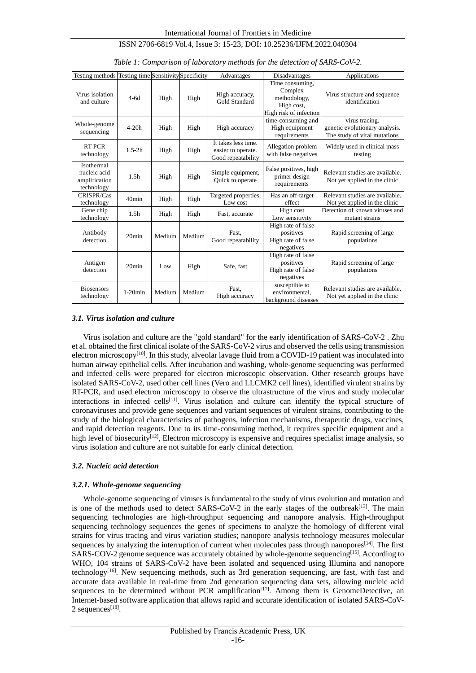| Testing methods Testing time Sensitivity Specificity      |                   |        |        | Advantages                                                      | Disadvantages                                                                      | Applications                                                                     |
|-----------------------------------------------------------|-------------------|--------|--------|-----------------------------------------------------------------|------------------------------------------------------------------------------------|----------------------------------------------------------------------------------|
| Virus isolation<br>and culture                            | $4-6d$            | High   | High   | High accuracy,<br>Gold Standard                                 | Time consuming,<br>Complex<br>methodology,<br>High cost,<br>High risk of infection | Virus structure and sequence<br>identification                                   |
| Whole-genome<br>sequencing                                | $4-20h$           | High   | High   | High accuracy                                                   | time-consuming and<br>High equipment<br>requirements                               | virus tracing.<br>genetic evolutionary analysis.<br>The study of viral mutations |
| RT-PCR<br>technology                                      | $1.5-2h$          | High   | High   | It takes less time.<br>easier to operate.<br>Good repeatability | Allegation problem<br>with false negatives                                         | Widely used in clinical mass<br>testing                                          |
| Isothermal<br>nucleic acid<br>amplification<br>technology | 1.5 <sub>h</sub>  | High   | High   | Simple equipment,<br>Quick to operate                           | False positives, high<br>primer design<br>requirements                             | Relevant studies are available.<br>Not yet applied in the clinic                 |
| CRISPR/Cas<br>technology                                  | 40 <sub>min</sub> | High   | High   | Targeted properties,<br>Low cost                                | Has an off-target<br>effect                                                        | Relevant studies are available.<br>Not yet applied in the clinic                 |
| Gene chip<br>technology                                   | 1.5 <sub>h</sub>  | High   | High   | Fast, accurate                                                  | High cost<br>Low sensitivity                                                       | Detection of known viruses and<br>mutant strains                                 |
| Antibody<br>detection                                     | $20$ min          | Medium | Medium | Fast.<br>Good repeatability                                     | High rate of false<br>positives<br>High rate of false<br>negatives                 | Rapid screening of large<br>populations                                          |
| Antigen<br>detection                                      | $20$ min          | Low    | High   | Safe, fast                                                      | High rate of false<br>positives<br>High rate of false<br>negatives                 | Rapid screening of large<br>populations                                          |
| <b>Biosensors</b><br>technology                           | $1-20$ min        | Medium | Medium | Fast.<br>High accuracy                                          | susceptible to<br>environmental.<br>background diseases                            | Relevant studies are available.<br>Not yet applied in the clinic                 |

*Table 1: Comparison of laboratory methods for the detection of SARS-CoV-2.*

#### *3.1. Virus isolation and culture*

Virus isolation and culture are the "gold standard" for the early identification of SARS-CoV-2 . Zhu et al. obtained the first clinical isolate of the SARS-CoV-2 virus and observed the cells using transmission electron microscopy<sup>[10]</sup>. In this study, alveolar lavage fluid from a COVID-19 patient was inoculated into human airway epithelial cells. After incubation and washing, whole-genome sequencing was performed and infected cells were prepared for electron microscopic observation. Other research groups have isolated SARS-CoV-2, used other cell lines (Vero and LLCMK2 cell lines), identified virulent strains by RT-PCR, and used electron microscopy to observe the ultrastructure of the virus and study molecular interactions in infected cells<sup>[11]</sup>. Virus isolation and culture can identify the typical structure of coronaviruses and provide gene sequences and variant sequences of virulent strains, contributing to the study of the biological characteristics of pathogens, infection mechanisms, therapeutic drugs, vaccines, and rapid detection reagents. Due to its time-consuming method, it requires specific equipment and a high level of biosecurity<sup>[12]</sup>, Electron microscopy is expensive and requires specialist image analysis, so virus isolation and culture are not suitable for early clinical detection.

#### *3.2. Nucleic acid detection*

## *3.2.1. Whole-genome sequencing*

Whole-genome sequencing of viruses is fundamental to the study of virus evolution and mutation and is one of the methods used to detect SARS-CoV-2 in the early stages of the outbreak<sup>[13]</sup>. The main sequencing technologies are high-throughput sequencing and nanopore analysis. High-throughput sequencing technology sequences the genes of specimens to analyze the homology of different viral strains for virus tracing and virus variation studies; nanopore analysis technology measures molecular sequences by analyzing the interruption of current when molecules pass through nanopores<sup>[14]</sup>. The first SARS-COV-2 genome sequence was accurately obtained by whole-genome sequencing<sup>[15]</sup>. According to WHO, 104 strains of SARS-CoV-2 have been isolated and sequenced using Illumina and nanopore technology<sup>[16]</sup>. New sequencing methods, such as 3rd generation sequencing, are fast, with fast and accurate data available in real-time from 2nd generation sequencing data sets, allowing nucleic acid sequences to be determined without PCR amplification $[17]$ . Among them is GenomeDetective, an Internet-based software application that allows rapid and accurate identification of isolated SARS-CoV-2 sequences $^{[18]}$ .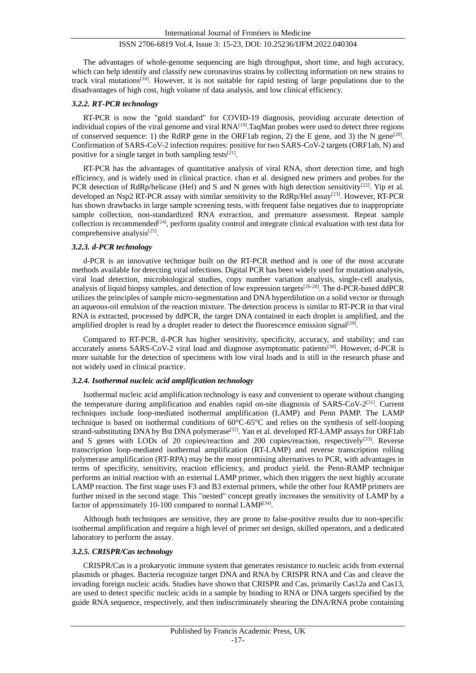The advantages of whole-genome sequencing are high throughput, short time, and high accuracy, which can help identify and classify new coronavirus strains by collecting information on new strains to track viral mutations<sup>[16]</sup>. However, it is not suitable for rapid testing of large populations due to the disadvantages of high cost, high volume of data analysis, and low clinical efficiency.

## *3.2.2. RT-PCR technology*

RT-PCR is now the "gold standard" for COVID-19 diagnosis, providing accurate detection of individual copies of the viral genome and viral RNA<sup>[19]</sup>. TaqMan probes were used to detect three regions of conserved sequence: 1) the RdRP gene in the ORF1ab region, 2) the E gene, and 3) the N gene<sup>[20]</sup>. Confirmation of SARS-CoV-2 infection requires: positive for two SARS-CoV-2 targets (ORF1ab, N) and positive for a single target in both sampling tests $[21]$ .

RT-PCR has the advantages of quantitative analysis of viral RNA, short detection time, and high efficiency, and is widely used in clinical practice. chan et al. designed new primers and probes for the PCR detection of RdRp/helicase (Hel) and S and N genes with high detection sensitivity<sup>[22]</sup>. Yip et al. developed an Nsp2 RT-PCR assay with similar sensitivity to the RdRp/Hel assay<sup>[23]</sup>. However, RT-PCR has shown drawbacks in large sample screening tests, with frequent false negatives due to inappropriate sample collection, non-standardized RNA extraction, and premature assessment. Repeat sample collection is recommended<sup>[24]</sup>, perform quality control and integrate clinical evaluation with test data for comprehensive analysis<sup>[25]</sup>.

#### *3.2.3. d-PCR technology*

d-PCR is an innovative technique built on the RT-PCR method and is one of the most accurate methods available for detecting viral infections. Digital PCR has been widely used for mutation analysis, viral load detection, microbiological studies, copy number variation analysis, single-cell analysis, analysis of liquid biopsy samples, and detection of low expression targets<sup>[26-28]</sup>. The d-PCR-based ddPCR utilizes the principles of sample micro-segmentation and DNA hyperdilution on a solid vector or through an aqueous-oil emulsion of the reaction mixture. The detection process is similar to RT-PCR in that viral RNA is extracted, processed by ddPCR, the target DNA contained in each droplet is amplified, and the amplified droplet is read by a droplet reader to detect the fluorescence emission signal<sup>[29]</sup>.

Compared to RT-PCR, d-PCR has higher sensitivity, specificity, accuracy, and stability; and can accurately assess SARS-CoV-2 viral load and diagnose asymptomatic patients<sup>[30]</sup>. However, d-PCR is more suitable for the detection of specimens with low viral loads and is still in the research phase and not widely used in clinical practice.

#### *3.2.4. Isothermal nucleic acid amplification technology*

Isothermal nucleic acid amplification technology is easy and convenient to operate without changing the temperature during amplification and enables rapid on-site diagnosis of SARS-CoV-2<sup>[31]</sup>. Current techniques include loop-mediated isothermal amplification (LAMP) and Penn PAMP. The LAMP technique is based on isothermal conditions of 60°C-65°C and relies on the synthesis of self-looping strand-substituting DNA by Bst DNA polymerase<sup>[32]</sup>. Yan et al. developed RT-LAMP assays for ORF1ab and S genes with LODs of 20 copies/reaction and 200 copies/reaction, respectively<sup>[33]</sup>. Reverse transcription loop-mediated isothermal amplification (RT-LAMP) and reverse transcription rolling polymerase amplification (RT-RPA) may be the most promising alternatives to PCR, with advantages in terms of specificity, sensitivity, reaction efficiency, and product yield. the Penn-RAMP technique performs an initial reaction with an external LAMP primer, which then triggers the next highly accurate LAMP reaction. The first stage uses F3 and B3 external primers, while the other four RAMP primers are further mixed in the second stage. This "nested" concept greatly increases the sensitivity of LAMP by a factor of approximately 10-100 compared to normal LAMP<sup>[34]</sup>.

Although both techniques are sensitive, they are prone to false-positive results due to non-specific isothermal amplification and require a high level of primer set design, skilled operators, and a dedicated laboratory to perform the assay.

#### *3.2.5. CRISPR/Cas technology*

CRISPR/Cas is a prokaryotic immune system that generates resistance to nucleic acids from external plasmids or phages. Bacteria recognize target DNA and RNA by CRISPR RNA and Cas and cleave the invading foreign nucleic acids. Studies have shown that CRISPR and Cas, primarily Cas12a and Cas13, are used to detect specific nucleic acids in a sample by binding to RNA or DNA targets specified by the guide RNA sequence, respectively, and then indiscriminately shearing the DNA/RNA probe containing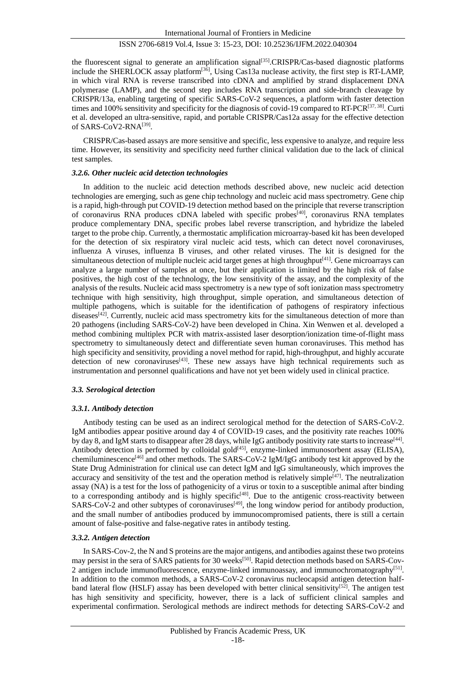the fluorescent signal to generate an amplification signal<sup>[35]</sup>.CRISPR/Cas-based diagnostic platforms include the SHERLOCK assay platform<sup>[36]</sup>, Using Cas13a nuclease activity, the first step is RT-LAMP, in which viral RNA is reverse transcribed into cDNA and amplified by strand displacement DNA polymerase (LAMP), and the second step includes RNA transcription and side-branch cleavage by CRISPR/13a, enabling targeting of specific SARS-CoV-2 sequences, a platform with faster detection times and 100% sensitivity and specificity for the diagnosis of covid-19 compared to RT-PCR<sup>[37, 38]</sup>. Curti et al. developed an ultra-sensitive, rapid, and portable CRISPR/Cas12a assay for the effective detection of SARS-CoV2-RNA<a>[39]</a>.

CRISPR/Cas-based assays are more sensitive and specific, less expensive to analyze, and require less time. However, its sensitivity and specificity need further clinical validation due to the lack of clinical test samples.

## *3.2.6. Other nucleic acid detection technologies*

In addition to the nucleic acid detection methods described above, new nucleic acid detection technologies are emerging, such as gene chip technology and nucleic acid mass spectrometry. Gene chip is a rapid, high-through put COVID-19 detection method based on the principle that reverse transcription of coronavirus RNA produces cDNA labeled with specific probes<sup>[40]</sup>, coronavirus RNA templates produce complementary DNA, specific probes label reverse transcription, and hybridize the labeled target to the probe chip. Currently, a thermostatic amplification microarray-based kit has been developed for the detection of six respiratory viral nucleic acid tests, which can detect novel coronaviruses, influenza A viruses, influenza B viruses, and other related viruses. The kit is designed for the simultaneous detection of multiple nucleic acid target genes at high throughput<sup>[41]</sup>. Gene microarrays can analyze a large number of samples at once, but their application is limited by the high risk of false positives, the high cost of the technology, the low sensitivity of the assay, and the complexity of the analysis of the results. Nucleic acid mass spectrometry is a new type of soft ionization mass spectrometry technique with high sensitivity, high throughput, simple operation, and simultaneous detection of multiple pathogens, which is suitable for the identification of pathogens of respiratory infectious diseases<sup>[42]</sup>. Currently, nucleic acid mass spectrometry kits for the simultaneous detection of more than 20 pathogens (including SARS-CoV-2) have been developed in China. Xin Wenwen et al. developed a method combining multiplex PCR with matrix-assisted laser desorption/ionization time-of-flight mass spectrometry to simultaneously detect and differentiate seven human coronaviruses. This method has high specificity and sensitivity, providing a novel method for rapid, high-throughput, and highly accurate detection of new coronaviruses<sup>[43]</sup>. These new assays have high technical requirements such as instrumentation and personnel qualifications and have not yet been widely used in clinical practice.

## *3.3. Serological detection*

## *3.3.1. Antibody detection*

Antibody testing can be used as an indirect serological method for the detection of SARS-CoV-2. IgM antibodies appear positive around day 4 of COVID-19 cases, and the positivity rate reaches 100% by day 8, and IgM starts to disappear after 28 days, while IgG antibody positivity rate starts to increase<sup>[44]</sup>. Antibody detection is performed by colloidal gold<sup>[45]</sup>, enzyme-linked immunosorbent assay (ELISA), chemiluminescence<sup>[46]</sup> and other methods. The SARS-CoV-2 IgM/IgG antibody test kit approved by the State Drug Administration for clinical use can detect IgM and IgG simultaneously, which improves the accuracy and sensitivity of the test and the operation method is relatively simple<sup>[47]</sup>. The neutralization assay (NA) is a test for the loss of pathogenicity of a virus or toxin to a susceptible animal after binding to a corresponding antibody and is highly specific<sup>[48]</sup>. Due to the antigenic cross-reactivity between SARS-CoV-2 and other subtypes of coronaviruses<sup>[49]</sup>, the long window period for antibody production, and the small number of antibodies produced by immunocompromised patients, there is still a certain amount of false-positive and false-negative rates in antibody testing.

## *3.3.2. Antigen detection*

In SARS-Cov-2, the N and S proteins are the major antigens, and antibodies against these two proteins may persist in the sera of SARS patients for 30 weeks<sup>[50]</sup>. Rapid detection methods based on SARS-Cov-2 antigen include immunofluorescence, enzyme-linked immunoassay, and immunochromatography<sup>[51]</sup>. In addition to the common methods, a SARS-CoV-2 coronavirus nucleocapsid antigen detection halfband lateral flow (HSLF) assay has been developed with better clinical sensitivity<sup>[52]</sup>. The antigen test has high sensitivity and specificity, however, there is a lack of sufficient clinical samples and experimental confirmation. Serological methods are indirect methods for detecting SARS-CoV-2 and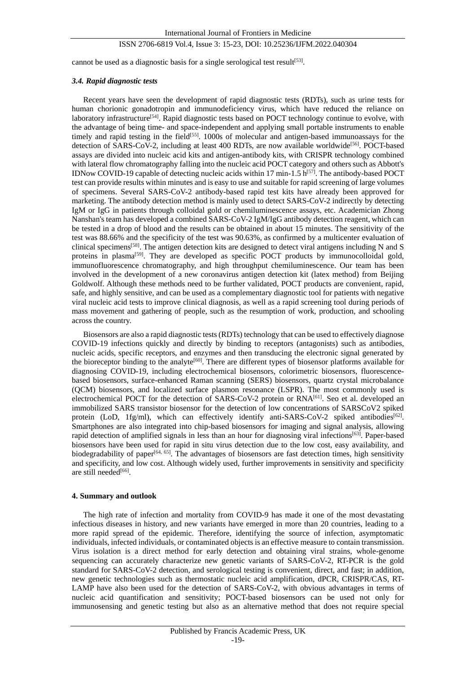cannot be used as a diagnostic basis for a single serological test result<sup>[53]</sup>.

## *3.4. Rapid diagnostic tests*

Recent years have seen the development of rapid diagnostic tests (RDTs), such as urine tests for human chorionic gonadotropin and immunodeficiency virus, which have reduced the reliance on laboratory infrastructure<sup>[54]</sup>. Rapid diagnostic tests based on POCT technology continue to evolve, with the advantage of being time- and space-independent and applying small portable instruments to enable timely and rapid testing in the field<sup>[55]</sup>. 1000s of molecular and antigen-based immunoassays for the detection of SARS-CoV-2, including at least 400 RDTs, are now available worldwide<sup>[56]</sup>. POCT-based assays are divided into nucleic acid kits and antigen-antibody kits, with CRISPR technology combined with lateral flow chromatography falling into the nucleic acid POCT category and others such as Abbott's IDNow COVID-19 capable of detecting nucleic acids within 17 min-1.5  $h^{[57]}$ . The antibody-based POCT test can provide results within minutes and is easy to use and suitable for rapid screening of large volumes of specimens. Several SARS-CoV-2 antibody-based rapid test kits have already been approved for marketing. The antibody detection method is mainly used to detect SARS-CoV-2 indirectly by detecting IgM or IgG in patients through colloidal gold or chemiluminescence assays, etc. Academician Zhong Nanshan's team has developed a combined SARS-CoV-2 IgM/IgG antibody detection reagent, which can be tested in a drop of blood and the results can be obtained in about 15 minutes. The sensitivity of the test was 88.66% and the specificity of the test was 90.63%, as confirmed by a multicenter evaluation of clinical specimens<sup>[58]</sup>. The antigen detection kits are designed to detect viral antigens including N and S proteins in plasma<sup>[59]</sup>. They are developed as specific POCT products by immunocolloidal gold, immunofluorescence chromatography, and high throughput chemiluminescence. Our team has been involved in the development of a new coronavirus antigen detection kit (latex method) from Beijing Goldwolf. Although these methods need to be further validated, POCT products are convenient, rapid, safe, and highly sensitive, and can be used as a complementary diagnostic tool for patients with negative viral nucleic acid tests to improve clinical diagnosis, as well as a rapid screening tool during periods of mass movement and gathering of people, such as the resumption of work, production, and schooling across the country.

Biosensors are also a rapid diagnostic tests (RDTs) technology that can be used to effectively diagnose COVID-19 infections quickly and directly by binding to receptors (antagonists) such as antibodies, nucleic acids, specific receptors, and enzymes and then transducing the electronic signal generated by the bioreceptor binding to the analyte<sup>[60]</sup>. There are different types of biosensor platforms available for diagnosing COVID-19, including electrochemical biosensors, colorimetric biosensors, fluorescencebased biosensors, surface-enhanced Raman scanning (SERS) biosensors, quartz crystal microbalance (QCM) biosensors, and localized surface plasmon resonance (LSPR). The most commonly used is electrochemical POCT for the detection of SARS-CoV-2 protein or RNA<sup>[61]</sup>. Seo et al. developed an immobilized SARS transistor biosensor for the detection of low concentrations of SARSCoV2 spiked protein (LoD, 1fg/ml), which can effectively identify anti-SARS-CoV-2 spiked antibodies<sup>[62]</sup>. Smartphones are also integrated into chip-based biosensors for imaging and signal analysis, allowing rapid detection of amplified signals in less than an hour for diagnosing viral infections<sup>[63]</sup>. Paper-based biosensors have been used for rapid in situ virus detection due to the low cost, easy availability, and biodegradability of paper<sup>[64, 65]</sup>. The advantages of biosensors are fast detection times, high sensitivity and specificity, and low cost. Although widely used, further improvements in sensitivity and specificity are still needed<sup>[66]</sup>.

#### **4. Summary and outlook**

The high rate of infection and mortality from COVID-9 has made it one of the most devastating infectious diseases in history, and new variants have emerged in more than 20 countries, leading to a more rapid spread of the epidemic. Therefore, identifying the source of infection, asymptomatic individuals, infected individuals, or contaminated objects is an effective measure to contain transmission. Virus isolation is a direct method for early detection and obtaining viral strains, whole-genome sequencing can accurately characterize new genetic variants of SARS-CoV-2, RT-PCR is the gold standard for SARS-CoV-2 detection, and serological testing is convenient, direct, and fast; in addition, new genetic technologies such as thermostatic nucleic acid amplification, dPCR, CRISPR/CAS, RT-LAMP have also been used for the detection of SARS-CoV-2, with obvious advantages in terms of nucleic acid quantification and sensitivity; POCT-based biosensors can be used not only for immunosensing and genetic testing but also as an alternative method that does not require special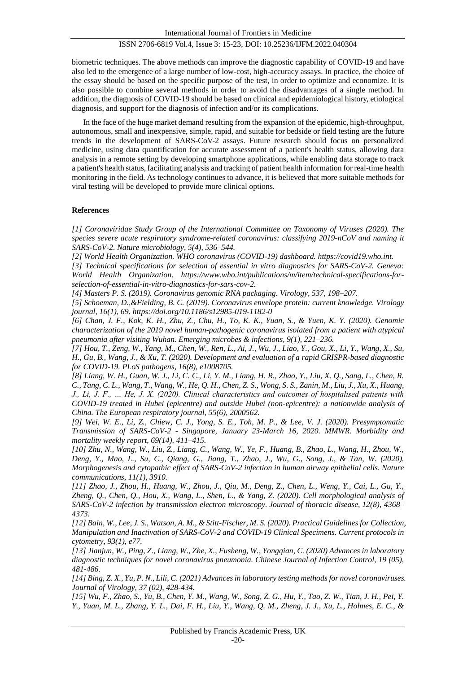biometric techniques. The above methods can improve the diagnostic capability of COVID-19 and have also led to the emergence of a large number of low-cost, high-accuracy assays. In practice, the choice of the essay should be based on the specific purpose of the test, in order to optimize and economize. It is also possible to combine several methods in order to avoid the disadvantages of a single method. In addition, the diagnosis of COVID-19 should be based on clinical and epidemiological history, etiological diagnosis, and support for the diagnosis of infection and/or its complications.

In the face of the huge market demand resulting from the expansion of the epidemic, high-throughput, autonomous, small and inexpensive, simple, rapid, and suitable for bedside or field testing are the future trends in the development of SARS-CoV-2 assays. Future research should focus on personalized medicine, using data quantification for accurate assessment of a patient's health status, allowing data analysis in a remote setting by developing smartphone applications, while enabling data storage to track a patient's health status, facilitating analysis and tracking of patient health information for real-time health monitoring in the field. As technology continues to advance, it is believed that more suitable methods for viral testing will be developed to provide more clinical options.

## **References**

*[1] Coronaviridae Study Group of the International Committee on Taxonomy of Viruses (2020). The species severe acute respiratory syndrome-related coronavirus: classifying 2019-nCoV and naming it SARS-CoV-2. Nature microbiology, 5(4), 536–544.* 

*[2] World Health Organization. WHO coronavirus (COVID-19) dashboard[. https://covid19.who.int.](https://covid19.who.int/)*

*[3] Technical specifications for selection of essential in vitro diagnostics for SARS-CoV-2. Geneva: World Health Organization. https://www.who.int/publications/m/item/technical-specifications-forselection-of-essential-in-vitro-diagnostics-for-sars-cov-2.*

*[4] Masters P. S. (2019). Coronavirus genomic RNA packaging. Virology, 537, 198–207.* 

*[5] Schoeman, D.,&Fielding, B. C. (2019). Coronavirus envelope protein: current knowledge. Virology journal, 16(1), 69. https://doi.org/10.1186/s12985-019-1182-0*

*[6] Chan, J. F., Kok, K. H., Zhu, Z., Chu, H., To, K. K., Yuan, S., & Yuen, K. Y. (2020). Genomic characterization of the 2019 novel human-pathogenic coronavirus isolated from a patient with atypical pneumonia after visiting Wuhan. Emerging microbes & infections, 9(1), 221–236.* 

*[7] Hou, T., Zeng, W., Yang, M., Chen, W., Ren, L., Ai, J., Wu, J., Liao, Y., Gou, X., Li, Y., Wang, X., Su, H., Gu, B., Wang, J., & Xu, T. (2020). Development and evaluation of a rapid CRISPR-based diagnostic for COVID-19. PLoS pathogens, 16(8), e1008705.* 

*[8] Liang, W. H., Guan, W. J., Li, C. C., Li, Y. M., Liang, H. R., Zhao, Y., Liu, X. Q., Sang, L., Chen, R. C., Tang, C. L., Wang, T., Wang, W., He, Q. H., Chen, Z. S., Wong, S. S., Zanin, M., Liu, J., Xu, X., Huang, J., Li, J. F., … He, J. X. (2020). Clinical characteristics and outcomes of hospitalised patients with COVID-19 treated in Hubei (epicentre) and outside Hubei (non-epicentre): a nationwide analysis of China. The European respiratory journal, 55(6), 2000562.* 

*[9] Wei, W. E., Li, Z., Chiew, C. J., Yong, S. E., Toh, M. P., & Lee, V. J. (2020). Presymptomatic Transmission of SARS-CoV-2 - Singapore, January 23-March 16, 2020. MMWR. Morbidity and mortality weekly report, 69(14), 411–415.* 

*[10] Zhu, N., Wang, W., Liu, Z., Liang, C., Wang, W., Ye, F., Huang, B., Zhao, L., Wang, H., Zhou, W., Deng, Y., Mao, L., Su, C., Qiang, G., Jiang, T., Zhao, J., Wu, G., Song, J., & Tan, W. (2020). Morphogenesis and cytopathic effect of SARS-CoV-2 infection in human airway epithelial cells. Nature communications, 11(1), 3910.* 

*[11] Zhao, J., Zhou, H., Huang, W., Zhou, J., Qiu, M., Deng, Z., Chen, L., Weng, Y., Cai, L., Gu, Y., Zheng, Q., Chen, Q., Hou, X., Wang, L., Shen, L., & Yang, Z. (2020). Cell morphological analysis of SARS-CoV-2 infection by transmission electron microscopy. Journal of thoracic disease, 12(8), 4368– 4373.* 

*[12] Bain, W., Lee, J. S., Watson, A. M., & Stitt-Fischer, M. S. (2020). Practical Guidelines for Collection, Manipulation and Inactivation of SARS-CoV-2 and COVID-19 Clinical Specimens. Current protocols in cytometry, 93(1), e77.* 

*[13] Jianjun, W., Ping, Z., Liang, W., Zhe, X., Fusheng, W., Yongqian, C. (2020) Advances in laboratory diagnostic techniques for novel coronavirus pneumonia. Chinese Journal of Infection Control, 19 (05), 481-486.*

*[14] Bing, Z. X., Yu, P. N., Lili, C. (2021) Advances in laboratory testing methods for novel coronaviruses. Journal of Virology, 37 (02), 428-434.*

*[15] Wu, F., Zhao, S., Yu, B., Chen, Y. M., Wang, W., Song, Z. G., Hu, Y., Tao, Z. W., Tian, J. H., Pei, Y. Y., Yuan, M. L., Zhang, Y. L., Dai, F. H., Liu, Y., Wang, Q. M., Zheng, J. J., Xu, L., Holmes, E. C., &*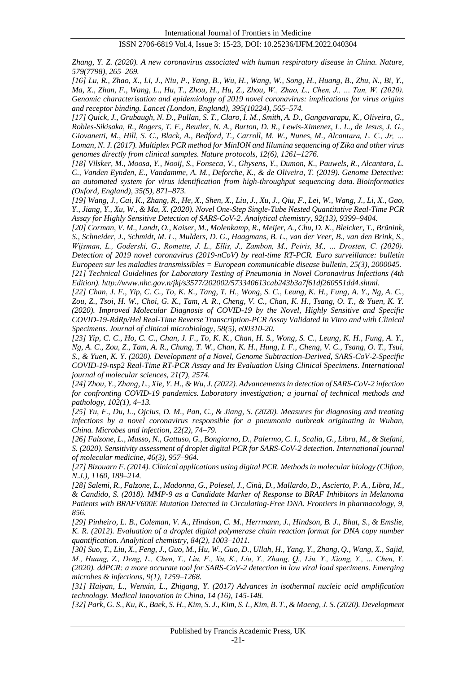*Zhang, Y. Z. (2020). A new coronavirus associated with human respiratory disease in China. Nature, 579(7798), 265–269.* 

*[16] Lu, R., Zhao, X., Li, J., Niu, P., Yang, B., Wu, H., Wang, W., Song, H., Huang, B., Zhu, N., Bi, Y., Ma, X., Zhan, F., Wang, L., Hu, T., Zhou, H., Hu, Z., Zhou, W., Zhao, L., Chen, J., … Tan, W. (2020). Genomic characterisation and epidemiology of 2019 novel coronavirus: implications for virus origins and receptor binding. Lancet (London, England), 395(10224), 565–574.* 

*[17] Quick, J., Grubaugh, N. D., Pullan, S. T., Claro, I. M., Smith, A. D., Gangavarapu, K., Oliveira, G., Robles-Sikisaka, R., Rogers, T. F., Beutler, N. A., Burton, D. R., Lewis-Ximenez, L. L., de Jesus, J. G., Giovanetti, M., Hill, S. C., Black, A., Bedford, T., Carroll, M. W., Nunes, M., Alcantara, L. C., Jr, … Loman, N. J. (2017). Multiplex PCR method for MinION and Illumina sequencing of Zika and other virus genomes directly from clinical samples. Nature protocols, 12(6), 1261–1276.* 

*[18] Vilsker, M., Moosa, Y., Nooij, S., Fonseca, V., Ghysens, Y., Dumon, K., Pauwels, R., Alcantara, L. C., Vanden Eynden, E., Vandamme, A. M., Deforche, K., & de Oliveira, T. (2019). Genome Detective: an automated system for virus identification from high-throughput sequencing data. Bioinformatics (Oxford, England), 35(5), 871–873.* 

*[19] Wang, J., Cai, K., Zhang, R., He, X., Shen, X., Liu, J., Xu, J., Qiu, F., Lei, W., Wang, J., Li, X., Gao, Y., Jiang, Y., Xu, W., & Ma, X. (2020). Novel One-Step Single-Tube Nested Quantitative Real-Time PCR Assay for Highly Sensitive Detection of SARS-CoV-2. Analytical chemistry, 92(13), 9399–9404.* 

*[20] Corman, V. M., Landt, O., Kaiser, M., Molenkamp, R., Meijer, A., Chu, D. K., Bleicker, T., Brünink, S., Schneider, J., Schmidt, M. L., Mulders, D. G., Haagmans, B. L., van der Veer, B., van den Brink, S., Wijsman, L., Goderski, G., Romette, J. L., Ellis, J., Zambon, M., Peiris, M., … Drosten, C. (2020). Detection of 2019 novel coronavirus (2019-nCoV) by real-time RT-PCR. Euro surveillance: bulletin Europeen sur les maladies transmissibles = European communicable disease bulletin, 25(3), 2000045. [21] Technical Guidelines for Laboratory Testing of Pneumonia in Novel Coronavirus Infections (4th Edition)[. http://www.nhc.gov.n/jkj/s3577/202002/573340613cab243b3a7f61df260551dd4.shtml.](http://www.nhc.gov.n/jkj/s3577/202002/573340613cab243b3a7f61df260551dd4.shtml)*

*[22] Chan, J. F., Yip, C. C., To, K. K., Tang, T. H., Wong, S. C., Leung, K. H., Fung, A. Y., Ng, A. C., Zou, Z., Tsoi, H. W., Choi, G. K., Tam, A. R., Cheng, V. C., Chan, K. H., Tsang, O. T., & Yuen, K. Y. (2020). Improved Molecular Diagnosis of COVID-19 by the Novel, Highly Sensitive and Specific COVID-19-RdRp/Hel Real-Time Reverse Transcription-PCR Assay Validated In Vitro and with Clinical Specimens. Journal of clinical microbiology, 58(5), e00310-20.* 

*[23] Yip, C. C., Ho, C. C., Chan, J. F., To, K. K., Chan, H. S., Wong, S. C., Leung, K. H., Fung, A. Y., Ng, A. C., Zou, Z., Tam, A. R., Chung, T. W., Chan, K. H., Hung, I. F., Cheng, V. C., Tsang, O. T., Tsui, S., & Yuen, K. Y. (2020). Development of a Novel, Genome Subtraction-Derived, SARS-CoV-2-Specific COVID-19-nsp2 Real-Time RT-PCR Assay and Its Evaluation Using Clinical Specimens. International journal of molecular sciences, 21(7), 2574.* 

*[24] Zhou, Y., Zhang, L., Xie, Y. H., & Wu, J. (2022). Advancements in detection of SARS-CoV-2 infection for confronting COVID-19 pandemics. Laboratory investigation; a journal of technical methods and pathology, 102(1), 4–13.* 

*[25] Yu, F., Du, L., Ojcius, D. M., Pan, C., & Jiang, S. (2020). Measures for diagnosing and treating infections by a novel coronavirus responsible for a pneumonia outbreak originating in Wuhan, China. Microbes and infection, 22(2), 74–79.* 

*[26] Falzone, L., Musso, N., Gattuso, G., Bongiorno, D., Palermo, C. I., Scalia, G., Libra, M., & Stefani, S. (2020). Sensitivity assessment of droplet digital PCR for SARS-CoV-2 detection. International journal of molecular medicine, 46(3), 957–964.* 

*[27] Bizouarn F. (2014). Clinical applications using digital PCR. Methods in molecular biology (Clifton, N.J.), 1160, 189–214.* 

*[28] Salemi, R., Falzone, L., Madonna, G., Polesel, J., Cinà, D., Mallardo, D., Ascierto, P. A., Libra, M., & Candido, S. (2018). MMP-9 as a Candidate Marker of Response to BRAF Inhibitors in Melanoma Patients with BRAFV600E Mutation Detected in Circulating-Free DNA. Frontiers in pharmacology, 9, 856.*

*[29] Pinheiro, L. B., Coleman, V. A., Hindson, C. M., Herrmann, J., Hindson, B. J., Bhat, S., & Emslie, K. R. (2012). Evaluation of a droplet digital polymerase chain reaction format for DNA copy number quantification. Analytical chemistry, 84(2), 1003–1011.* 

*[30] Suo, T., Liu, X., Feng, J., Guo, M., Hu, W., Guo, D., Ullah, H., Yang, Y., Zhang, Q., Wang, X., Sajid, M., Huang, Z., Deng, L., Chen, T., Liu, F., Xu, K., Liu, Y., Zhang, Q., Liu, Y., Xiong, Y., … Chen, Y. (2020). ddPCR: a more accurate tool for SARS-CoV-2 detection in low viral load specimens. Emerging microbes & infections, 9(1), 1259–1268.*

*[31] Haiyan, L., Wenxin, L., Zhigang, Y. (2017) Advances in isothermal nucleic acid amplification technology. Medical Innovation in China, 14 (16), 145-148.*

*[32] Park, G. S., Ku, K., Baek, S. H., Kim, S. J., Kim, S. I., Kim, B. T., & Maeng, J. S. (2020). Development*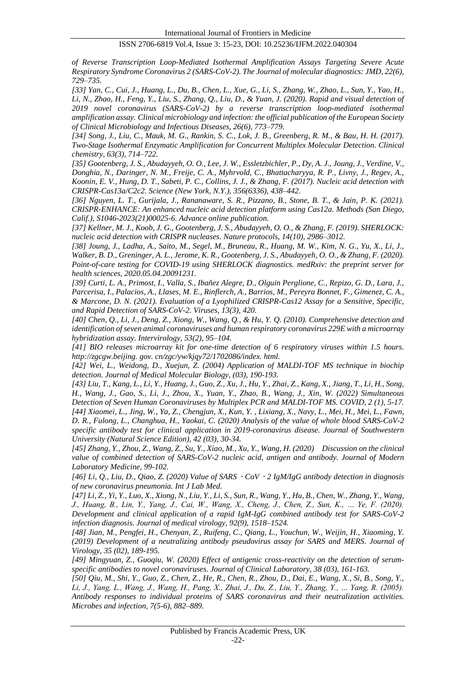*of Reverse Transcription Loop-Mediated Isothermal Amplification Assays Targeting Severe Acute Respiratory Syndrome Coronavirus 2 (SARS-CoV-2). The Journal of molecular diagnostics: JMD, 22(6), 729–735.* 

*[33] Yan, C., Cui, J., Huang, L., Du, B., Chen, L., Xue, G., Li, S., Zhang, W., Zhao, L., Sun, Y., Yao, H., Li, N., Zhao, H., Feng, Y., Liu, S., Zhang, Q., Liu, D., & Yuan, J. (2020). Rapid and visual detection of 2019 novel coronavirus (SARS-CoV-2) by a reverse transcription loop-mediated isothermal amplification assay. Clinical microbiology and infection: the official publication of the European Society of Clinical Microbiology and Infectious Diseases, 26(6), 773–779.* 

*[34] Song, J., Liu, C., Mauk, M. G., Rankin, S. C., Lok, J. B., Greenberg, R. M., & Bau, H. H. (2017). Two-Stage Isothermal Enzymatic Amplification for Concurrent Multiplex Molecular Detection. Clinical chemistry, 63(3), 714–722.* 

*[35] Gootenberg, J. S., Abudayyeh, O. O., Lee, J. W., Essletzbichler, P., Dy, A. J., Joung, J., Verdine, V., Donghia, N., Daringer, N. M., Freije, C. A., Myhrvold, C., Bhattacharyya, R. P., Livny, J., Regev, A., Koonin, E. V., Hung, D. T., Sabeti, P. C., Collins, J. J., & Zhang, F. (2017). Nucleic acid detection with CRISPR-Cas13a/C2c2. Science (New York, N.Y.), 356(6336), 438–442.* 

*[36] Nguyen, L. T., Gurijala, J., Rananaware, S. R., Pizzano, B., Stone, B. T., & Jain, P. K. (2021). CRISPR-ENHANCE: An enhanced nucleic acid detection platform using Cas12a. Methods (San Diego, Calif.), S1046-2023(21)00025-6. Advance online publication.*

*[37] Kellner, M. J., Koob, J. G., Gootenberg, J. S., Abudayyeh, O. O., & Zhang, F. (2019). SHERLOCK: nucleic acid detection with CRISPR nucleases. Nature protocols, 14(10), 2986–3012.* 

*[38] Joung, J., Ladha, A., Saito, M., Segel, M., Bruneau, R., Huang, M. W., Kim, N. G., Yu, X., Li, J., Walker, B. D., Greninger, A. L., Jerome, K. R., Gootenberg, J. S., Abudayyeh, O. O., & Zhang, F. (2020). Point-of-care testing for COVID-19 using SHERLOCK diagnostics. medRxiv: the preprint server for health sciences, 2020.05.04.20091231.* 

*[39] Curti, L. A., Primost, I., Valla, S., Ibañez Alegre, D., Olguin Perglione, C., Repizo, G. D., Lara, J., Parcerisa, I., Palacios, A., Llases, M. E., Rinflerch, A., Barrios, M., Pereyra Bonnet, F., Gimenez, C. A., & Marcone, D. N. (2021). Evaluation of a Lyophilized CRISPR-Cas12 Assay for a Sensitive, Specific, and Rapid Detection of SARS-CoV-2. Viruses, 13(3), 420.* 

*[40] Chen, Q., Li, J., Deng, Z., Xiong, W., Wang, Q., & Hu, Y. Q. (2010). Comprehensive detection and identification of seven animal coronaviruses and human respiratory coronavirus 229E with a microarray hybridization assay. Intervirology, 53(2), 95–104.* 

*[41] BIO releases microarray kit for one-time detection of 6 respiratory viruses within 1.5 hours. http://zgcgw.beijing. gov. cn/zgc/yw/kjqy72/1702086/index. html.*

*[42] Wei, L., Weidong, D., Xuejun, Z. (2004) Application of MALDI-TOF MS technique in biochip detection. Journal of Medical Molecular Biology, (03), 190-193.*

*[43] Liu, T., Kang, L., Li, Y., Huang, J., Guo, Z., Xu, J., Hu, Y., Zhai, Z., Kang, X., Jiang, T., Li, H., Song, H., Wang, J., Gao, S., Li, J., Zhou, X., Yuan, Y., Zhao, B., Wang, J., Xin, W. (2022) Simultaneous Detection of Seven Human Coronaviruses by Multiplex PCR and MALDI-TOF MS. COVID, 2 (1), 5-17. [44] Xiaomei, L., Jing, W., Ya, Z., Chengjun, X., Kun, Y. , Lixiang, X., Navy, L., Mei, H., Mei, L., Fawn, D. R., Fulong, L., Changhua, H., Yaokai, C. (2020) Analysis of the value of whole blood SARS-CoV-2 specific antibody test for clinical application in 2019-coronavirus disease. Journal of Southwestern University (Natural Science Edition), 42 (03), 30-34.*

*[45] Zhang, Y., Zhou, Z., Wang, Z., Su, Y., Xiao, M., Xu, Y., Wang, H. (2020) Discussion on the clinical value of combined detection of SARS-CoV-2 nucleic acid, antigen and antibody. Journal of Modern Laboratory Medicine, 99-102.*

*[46] Li, Q., Liu, D., Qiao, Z. (2020) Value of SARS*‐*CoV*‐*2 IgM/IgG antibody detection in diagnosis of new coronavirus pneumonia. Int J Lab Med.*

*[47] Li, Z., Yi, Y., Luo, X., Xiong, N., Liu, Y., Li, S., Sun, R., Wang, Y., Hu, B., Chen, W., Zhang, Y., Wang, J., Huang, B., Lin, Y., Yang, J., Cai, W., Wang, X., Cheng, J., Chen, Z., Sun, K., … Ye, F. (2020). Development and clinical application of a rapid IgM-IgG combined antibody test for SARS-CoV-2 infection diagnosis. Journal of medical virology, 92(9), 1518–1524.* 

*[48] Jian, M., Pengfei, H., Chenyan, Z., Ruifeng, C., Qiang, L., Youchun, W., Weijin, H., Xiaoming, Y. (2019) Development of a neutralizing antibody pseudovirus assay for SARS and MERS. Journal of Virology, 35 (02), 189-195.*

*[49] Mingyuan, Z., Guoqiu, W. (2020) Effect of antigenic cross-reactivity on the detection of serumspecific antibodies to novel coronaviruses. Journal of Clinical Laboratory, 38 (03), 161-163.*

*[50] Qiu, M., Shi, Y., Guo, Z., Chen, Z., He, R., Chen, R., Zhou, D., Dai, E., Wang, X., Si, B., Song, Y., Li, J., Yang, L., Wang, J., Wang, H., Pang, X., Zhai, J., Du, Z., Liu, Y., Zhang, Y., … Yang, R. (2005). Antibody responses to individual proteins of SARS coronavirus and their neutralization activities. Microbes and infection, 7(5-6), 882–889.*